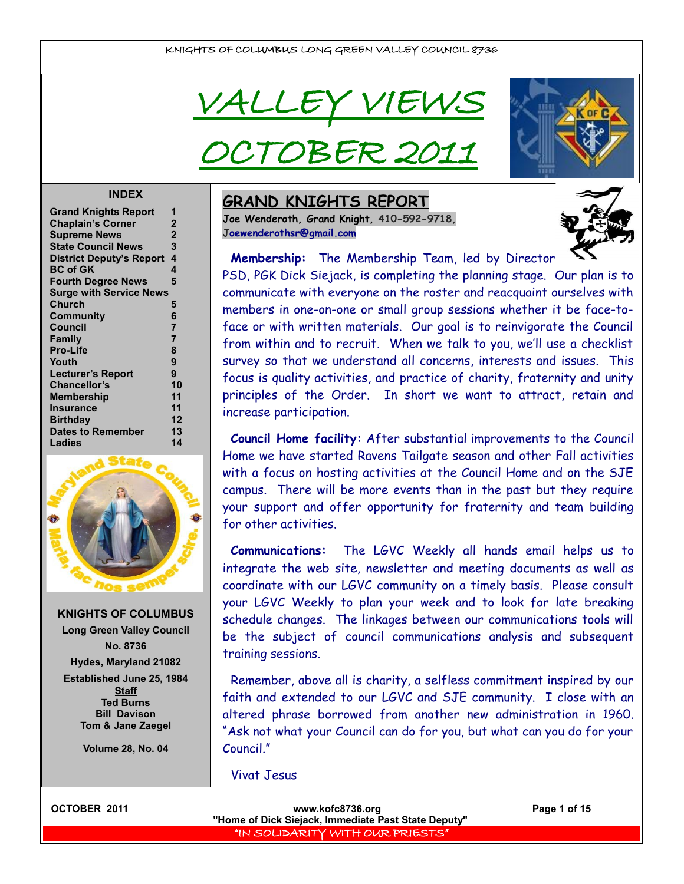VALLEY VIEV

CTOBER 20



#### **INDEX**

| <b>Grand Knights Report</b>     | 1              |
|---------------------------------|----------------|
| <b>Chaplain's Corner</b>        | $\mathbf 2$    |
| <b>Supreme News</b>             | $\overline{2}$ |
| <b>State Council News</b>       | 3              |
| <b>District Deputy's Report</b> | 4              |
| <b>BC of GK</b>                 | 4              |
| <b>Fourth Degree News</b>       | 5              |
| <b>Surge with Service News</b>  |                |
| Church                          | 5              |
| Community                       | 6              |
| <b>Council</b>                  | $\overline{7}$ |
| Family                          | $\overline{7}$ |
| <b>Pro-Life</b>                 | 8              |
| Youth                           | 9              |
| <b>Lecturer's Report</b>        | 9              |
| <b>Chancellor's</b>             | 10             |
| <b>Membership</b>               | 11             |
| Insurance                       | 11             |
| <b>Birthday</b>                 | 12             |
| <b>Dates to Remember</b>        | 13             |
| Ladies                          | 14             |
|                                 |                |



**KNIGHTS OF COLUMBUS Long Green Valley Council No. 8736 Hydes, Maryland 21082 Established June 25, 1984 Staff Ted Burns**

> **Tom & Jane Zaegel Volume 28, No. 04**

**Bill Davison**

### **GRAND KNIGHTS REPORT**

**Joe Wenderoth, Grand Knight, 410-592-9718, [Joewenderothsr@gmail.com](mailto:joewenderothsr@gmail.com)**



**Membership:** The Membership Team, led by Director

PSD, PGK Dick Siejack, is completing the planning stage. Our plan is to communicate with everyone on the roster and reacquaint ourselves with members in one-on-one or small group sessions whether it be face-toface or with written materials. Our goal is to reinvigorate the Council from within and to recruit. When we talk to you, we'll use a checklist survey so that we understand all concerns, interests and issues. This focus is quality activities, and practice of charity, fraternity and unity principles of the Order. In short we want to attract, retain and increase participation.

**Council Home facility:** After substantial improvements to the Council Home we have started Ravens Tailgate season and other Fall activities with a focus on hosting activities at the Council Home and on the SJE campus. There will be more events than in the past but they require your support and offer opportunity for fraternity and team building for other activities.

**Communications:** The LGVC Weekly all hands email helps us to integrate the web site, newsletter and meeting documents as well as coordinate with our LGVC community on a timely basis. Please consult your LGVC Weekly to plan your week and to look for late breaking schedule changes. The linkages between our communications tools will be the subject of council communications analysis and subsequent training sessions.

Remember, above all is charity, a selfless commitment inspired by our faith and extended to our LGVC and SJE community. I close with an altered phrase borrowed from another new administration in 1960. "Ask not what your Council can do for you, but what can you do for your Council."

Vivat Jesus



**OCTOBER 2011 WWW.kofc8736.org Page 1 of 15 "Home of Dick Siejack, Immediate Past State Deputy"**  "IN SOLIDARITY WITH OUR PRIESTS"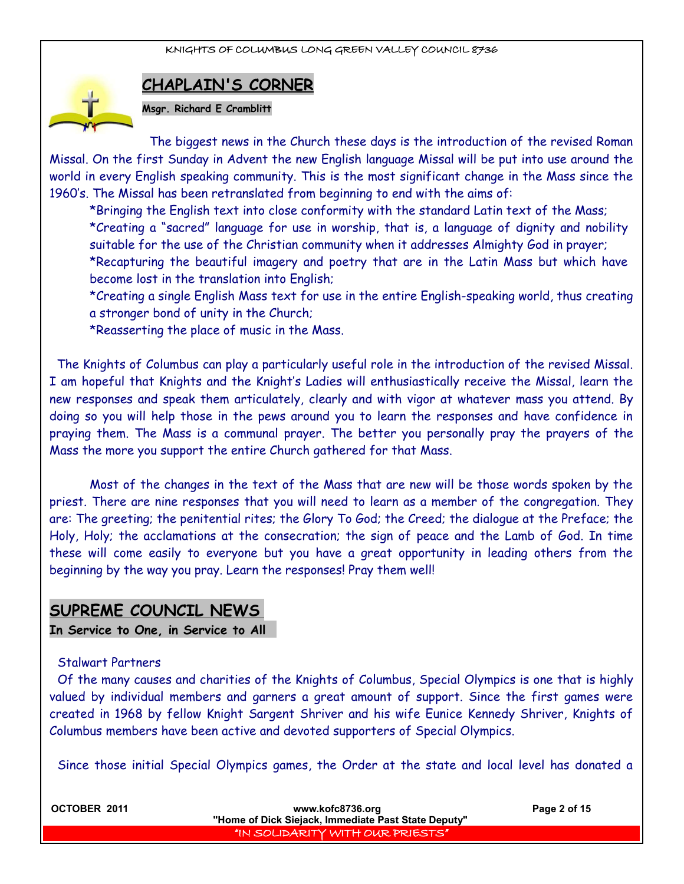

**CHAPLAIN'S CORNER**

**Msgr. Richard E Cramblitt**

The biggest news in the Church these days is the introduction of the revised Roman Missal. On the first Sunday in Advent the new English language Missal will be put into use around the world in every English speaking community. This is the most significant change in the Mass since the 1960's. The Missal has been retranslated from beginning to end with the aims of:

\*Bringing the English text into close conformity with the standard Latin text of the Mass; \*Creating a "sacred" language for use in worship, that is, a language of dignity and nobility suitable for the use of the Christian community when it addresses Almighty God in prayer; \*Recapturing the beautiful imagery and poetry that are in the Latin Mass but which have become lost in the translation into English;

\*Creating a single English Mass text for use in the entire English-speaking world, thus creating a stronger bond of unity in the Church;

\*Reasserting the place of music in the Mass.

The Knights of Columbus can play a particularly useful role in the introduction of the revised Missal. I am hopeful that Knights and the Knight's Ladies will enthusiastically receive the Missal, learn the new responses and speak them articulately, clearly and with vigor at whatever mass you attend. By doing so you will help those in the pews around you to learn the responses and have confidence in praying them. The Mass is a communal prayer. The better you personally pray the prayers of the Mass the more you support the entire Church gathered for that Mass.

Most of the changes in the text of the Mass that are new will be those words spoken by the priest. There are nine responses that you will need to learn as a member of the congregation. They are: The greeting; the penitential rites; the Glory To God; the Creed; the dialogue at the Preface; the Holy, Holy; the acclamations at the consecration; the sign of peace and the Lamb of God. In time these will come easily to everyone but you have a great opportunity in leading others from the beginning by the way you pray. Learn the responses! Pray them well!

## **SUPREME COUNCIL NEWS**

**In Service to One, in Service to All** 

#### Stalwart Partners

Of the many causes and charities of the Knights of Columbus, Special Olympics is one that is highly valued by individual members and garners a great amount of support. Since the first games were created in 1968 by fellow Knight Sargent Shriver and his wife Eunice Kennedy Shriver, Knights of Columbus members have been active and devoted supporters of Special Olympics.

Since those initial Special Olympics games, the Order at the state and local level has donated a

| OCTOBER 2011 | www.kofc8736.org<br>"Home of Dick Siejack, Immediate Past State Deputy" | Page 2 of 15 |
|--------------|-------------------------------------------------------------------------|--------------|
|              | "IN SOLIDARITY WITH OUR PRIESTS"                                        |              |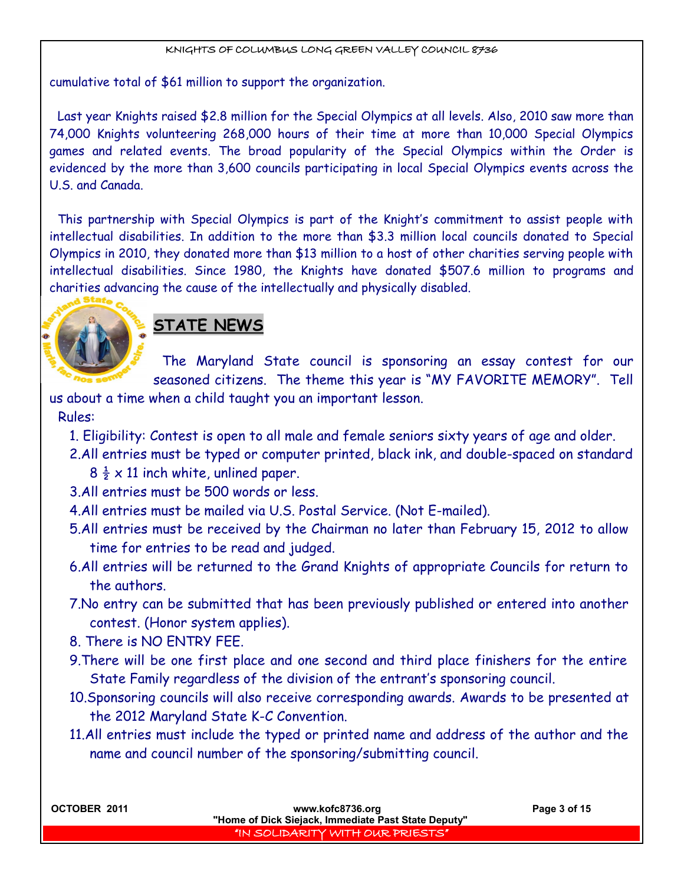cumulative total of \$61 million to support the organization.

Last year Knights raised \$2.8 million for the Special Olympics at all levels. Also, 2010 saw more than 74,000 Knights volunteering 268,000 hours of their time at more than 10,000 Special Olympics games and related events. The broad popularity of the Special Olympics within the Order is evidenced by the more than 3,600 councils participating in local Special Olympics events across the U.S. and Canada.

This partnership with Special Olympics is part of the Knight's commitment to assist people with intellectual disabilities. In addition to the more than \$3.3 million local councils donated to Special Olympics in 2010, they donated more than \$13 million to a host of other charities serving people with intellectual disabilities. Since 1980, the Knights have donated \$507.6 million to programs and charities advancing the cause of the intellectually and physically disabled.



## **STATE NEWS**

The Maryland State council is sponsoring an essay contest for our seasoned citizens. The theme this year is "MY FAVORITE MEMORY". Tell

us about a time when a child taught you an important lesson. Rules:

- 1. Eligibility: Contest is open to all male and female seniors sixty years of age and older.
- 2.All entries must be typed or computer printed, black ink, and double-spaced on standard
	- $8\frac{1}{2} \times 11$  inch white, unlined paper.
- 3.All entries must be 500 words or less.
- 4.All entries must be mailed via U.S. Postal Service. (Not E-mailed).
- 5.All entries must be received by the Chairman no later than February 15, 2012 to allow time for entries to be read and judged.
- 6.All entries will be returned to the Grand Knights of appropriate Councils for return to the authors.
- 7.No entry can be submitted that has been previously published or entered into another contest. (Honor system applies).
- 8. There is NO ENTRY FEE.
- 9.There will be one first place and one second and third place finishers for the entire State Family regardless of the division of the entrant's sponsoring council.
- 10.Sponsoring councils will also receive corresponding awards. Awards to be presented at the 2012 Maryland State K-C Convention.
- 11.All entries must include the typed or printed name and address of the author and the name and council number of the sponsoring/submitting council.

| OCTOBER 2011 | www.kofc8736.org<br>"Home of Dick Siejack, Immediate Past State Deputy" | Page 3 of 15 |
|--------------|-------------------------------------------------------------------------|--------------|
|              |                                                                         |              |
|              | "IN SOLIDARITY WITH OUR PRIESTS"                                        |              |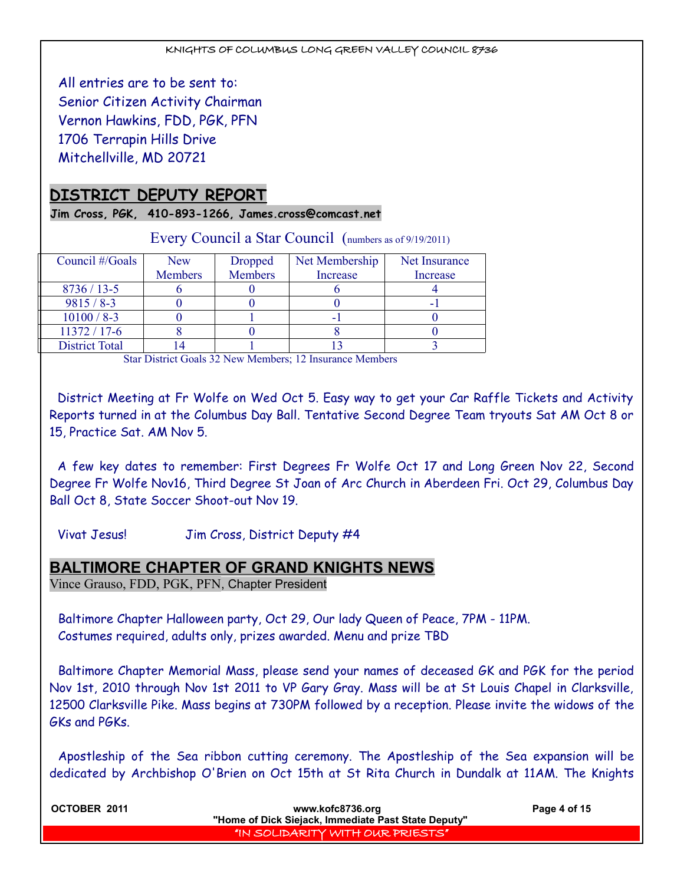All entries are to be sent to: Senior Citizen Activity Chairman Vernon Hawkins, FDD, PGK, PFN 1706 Terrapin Hills Drive Mitchellville, MD 20721

## **DISTRICT DEPUTY REPORT**

**Jim Cross, PGK, 410-893-1266, James.cross@comcast.net**

| $E\{v_1\}$ counter a ban-counter (numbers as of $\pi$ 17/2011) |                |                |                |               |
|----------------------------------------------------------------|----------------|----------------|----------------|---------------|
| Council #/Goals                                                | <b>New</b>     | Dropped        | Net Membership | Net Insurance |
|                                                                | <b>Members</b> | <b>Members</b> | Increase       | Increase      |
| $8736/13-5$                                                    |                |                |                |               |
| $9815 / 8 - 3$                                                 |                |                |                |               |
| $10100 / 8 - 3$                                                |                |                |                |               |
| $11372 / 17 - 6$                                               |                |                |                |               |
| <b>District Total</b>                                          |                |                |                |               |

Every Council a Star Council (numbers as of 9/19/2011)

Star District Goals 32 New Members; 12 Insurance Members

District Meeting at Fr Wolfe on Wed Oct 5. Easy way to get your Car Raffle Tickets and Activity Reports turned in at the Columbus Day Ball. Tentative Second Degree Team tryouts Sat AM Oct 8 or 15, Practice Sat. AM Nov 5.

A few key dates to remember: First Degrees Fr Wolfe Oct 17 and Long Green Nov 22, Second Degree Fr Wolfe Nov16, Third Degree St Joan of Arc Church in Aberdeen Fri. Oct 29, Columbus Day Ball Oct 8, State Soccer Shoot-out Nov 19.

Vivat Jesus! Jim Cross, District Deputy #4

#### **BALTIMORE CHAPTER OF GRAND KNIGHTS NEWS**

Vince Grauso, FDD, PGK, PFN, Chapter President

Baltimore Chapter Halloween party, Oct 29, Our lady Queen of Peace, 7PM - 11PM. Costumes required, adults only, prizes awarded. Menu and prize TBD

Baltimore Chapter Memorial Mass, please send your names of deceased GK and PGK for the period Nov 1st, 2010 through Nov 1st 2011 to VP Gary Gray. Mass will be at St Louis Chapel in Clarksville, 12500 Clarksville Pike. Mass begins at 730PM followed by a reception. Please invite the widows of the GKs and PGKs.

Apostleship of the Sea ribbon cutting ceremony. The Apostleship of the Sea expansion will be dedicated by Archbishop O'Brien on Oct 15th at St Rita Church in Dundalk at 11AM. The Knights

| OCTOBER 2011 | www.kofc8736.org<br>"Home of Dick Siejack, Immediate Past State Deputy" | Page 4 of 15 |
|--------------|-------------------------------------------------------------------------|--------------|
|              | "IN SOLIDARITY WITH OUR PRIESTS"                                        |              |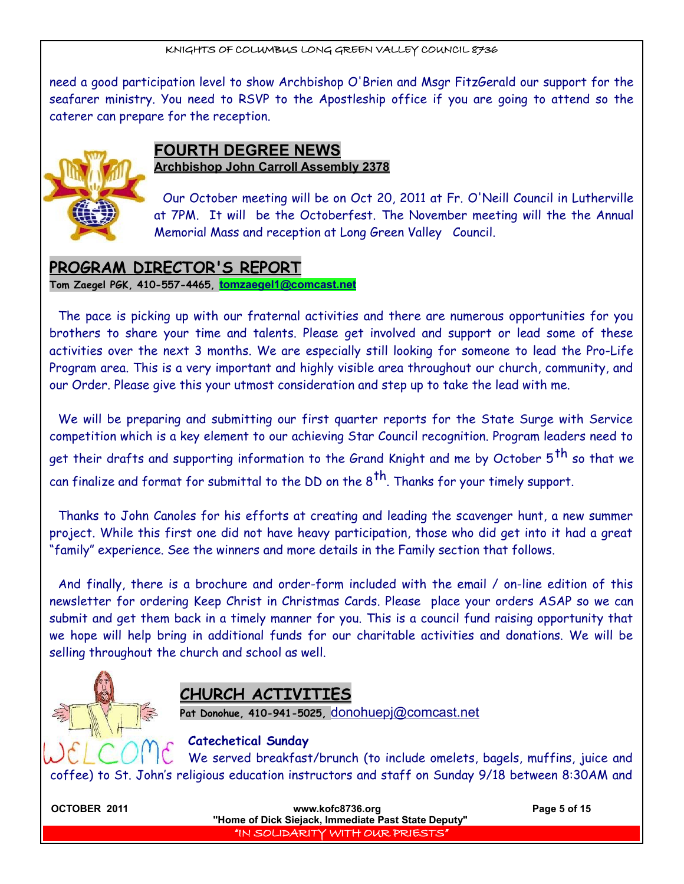need a good participation level to show Archbishop O'Brien and Msgr FitzGerald our support for the seafarer ministry. You need to RSVP to the Apostleship office if you are going to attend so the caterer can prepare for the reception.



### **FOURTH DEGREE NEWS Archbishop John Carroll Assembly 2378**

Our October meeting will be on Oct 20, 2011 at Fr. O'Neill Council in Lutherville at 7PM. It will be the Octoberfest. The November meeting will the the Annual Memorial Mass and reception at Long Green Valley Council.

## **PROGRAM DIRECTOR'S REPORT**

**Tom Zaegel PGK, 410-557-4465, [tomzaegel1@comcast.net](mailto:tomzaegel1@comcast.net)**

The pace is picking up with our fraternal activities and there are numerous opportunities for you brothers to share your time and talents. Please get involved and support or lead some of these activities over the next 3 months. We are especially still looking for someone to lead the Pro-Life Program area. This is a very important and highly visible area throughout our church, community, and our Order. Please give this your utmost consideration and step up to take the lead with me.

We will be preparing and submitting our first quarter reports for the State Surge with Service competition which is a key element to our achieving Star Council recognition. Program leaders need to get their drafts and supporting information to the Grand Knight and me by October 5<sup>th</sup> so that we can finalize and format for submittal to the DD on the  $8^{th}$ . Thanks for your timely support.

Thanks to John Canoles for his efforts at creating and leading the scavenger hunt, a new summer project. While this first one did not have heavy participation, those who did get into it had a great "family" experience. See the winners and more details in the Family section that follows.

And finally, there is a brochure and order-form included with the email / on-line edition of this newsletter for ordering Keep Christ in Christmas Cards. Please place your orders ASAP so we can submit and get them back in a timely manner for you. This is a council fund raising opportunity that we hope will help bring in additional funds for our charitable activities and donations. We will be selling throughout the church and school as well.



## **CHURCH ACTIVITIES**

**Pat Donohue, 410-941-5025,** [donohuepj@comcast.net](mailto:donohuepj@comcast.net)

#### **Catechetical Sunday**

We served breakfast/brunch (to include omelets, bagels, muffins, juice and coffee) to St. John's religious education instructors and staff on Sunday 9/18 between 8:30AM and

**OCTOBER 2011 WWW.kofc8736.org Page 5 of 15 "Home of Dick Siejack, Immediate Past State Deputy"**  "IN SOLIDARITY WITH OUR PRIESTS"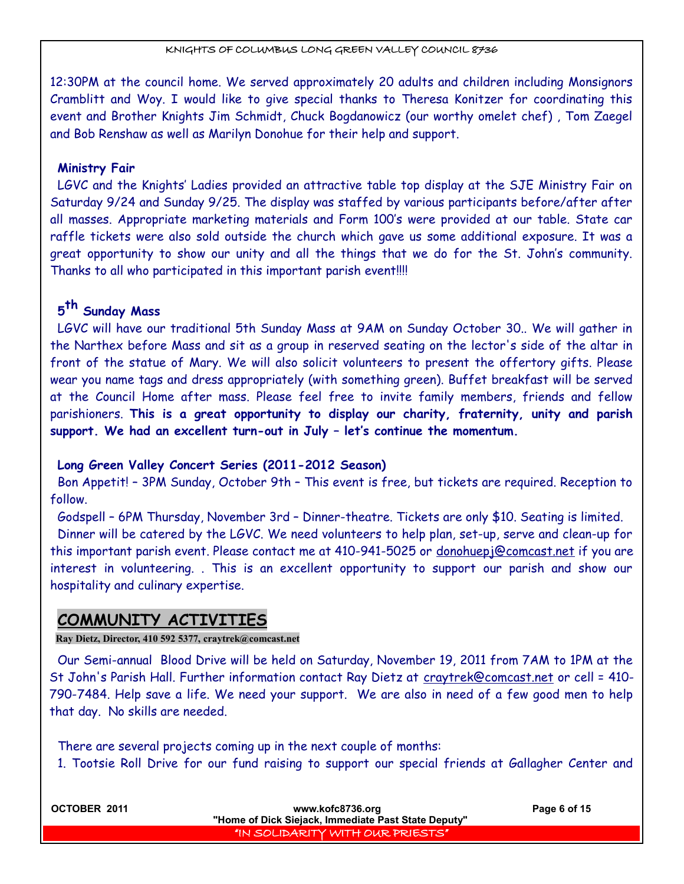12:30PM at the council home. We served approximately 20 adults and children including Monsignors Cramblitt and Woy. I would like to give special thanks to Theresa Konitzer for coordinating this event and Brother Knights Jim Schmidt, Chuck Bogdanowicz (our worthy omelet chef) , Tom Zaegel and Bob Renshaw as well as Marilyn Donohue for their help and support.

#### **Ministry Fair**

LGVC and the Knights' Ladies provided an attractive table top display at the SJE Ministry Fair on Saturday 9/24 and Sunday 9/25. The display was staffed by various participants before/after after all masses. Appropriate marketing materials and Form 100's were provided at our table. State car raffle tickets were also sold outside the church which gave us some additional exposure. It was a great opportunity to show our unity and all the things that we do for the St. John's community. Thanks to all who participated in this important parish event!!!!

## **5 th Sunday Mass**

LGVC will have our traditional 5th Sunday Mass at 9AM on Sunday October 30.. We will gather in the Narthex before Mass and sit as a group in reserved seating on the lector's side of the altar in front of the statue of Mary. We will also solicit volunteers to present the offertory gifts. Please wear you name tags and dress appropriately (with something green). Buffet breakfast will be served at the Council Home after mass. Please feel free to invite family members, friends and fellow parishioners. **This is a great opportunity to display our charity, fraternity, unity and parish support. We had an excellent turn-out in July – let's continue the momentum.** 

#### **Long Green Valley Concert Series (2011-2012 Season)**

Bon Appetit! – 3PM Sunday, October 9th – This event is free, but tickets are required. Reception to follow.

Godspell – 6PM Thursday, November 3rd – Dinner-theatre. Tickets are only \$10. Seating is limited. Dinner will be catered by the LGVC. We need volunteers to help plan, set-up, serve and clean-up for this important parish event. Please contact me at 410-941-5025 or donohuepj@comcast.net if you are interest in volunteering. . This is an excellent opportunity to support our parish and show our hospitality and culinary expertise.

## **COMMUNITY ACTIVITIES**

#### **Ray Dietz, Director, 410 592 5377, craytrek@comcast.net**

Our Semi-annual Blood Drive will be held on Saturday, November 19, 2011 from 7AM to 1PM at the St John's Parish Hall. Further information contact Ray Dietz at craytrek@comcast.net or cell = 410-790-7484. Help save a life. We need your support. We are also in need of a few good men to help that day. No skills are needed.

There are several projects coming up in the next couple of months:

1. Tootsie Roll Drive for our fund raising to support our special friends at Gallagher Center and

| OCTOBER 2011 | www.kofc8736.org<br>"Home of Dick Siejack, Immediate Past State Deputy" | Page 6 of 15 |
|--------------|-------------------------------------------------------------------------|--------------|
|              | I "IN SOLIDARITY WITH OUR PRIESTS" I                                    |              |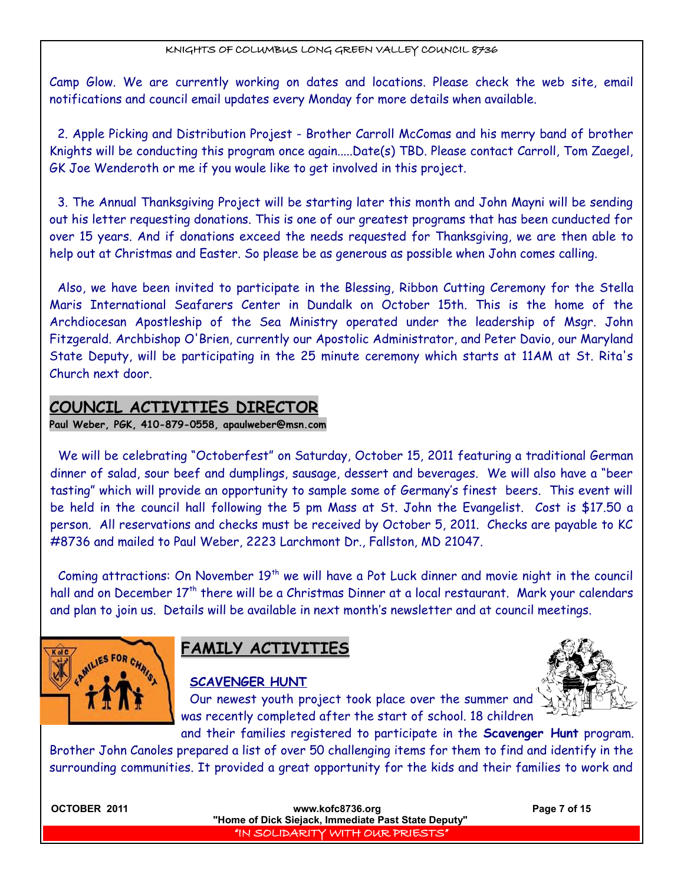Camp Glow. We are currently working on dates and locations. Please check the web site, email notifications and council email updates every Monday for more details when available.

2. Apple Picking and Distribution Projest - Brother Carroll McComas and his merry band of brother Knights will be conducting this program once again.....Date(s) TBD. Please contact Carroll, Tom Zaegel, GK Joe Wenderoth or me if you woule like to get involved in this project.

3. The Annual Thanksgiving Project will be starting later this month and John Mayni will be sending out his letter requesting donations. This is one of our greatest programs that has been cunducted for over 15 years. And if donations exceed the needs requested for Thanksgiving, we are then able to help out at Christmas and Easter. So please be as generous as possible when John comes calling.

Also, we have been invited to participate in the Blessing, Ribbon Cutting Ceremony for the Stella Maris International Seafarers Center in Dundalk on October 15th. This is the home of the Archdiocesan Apostleship of the Sea Ministry operated under the leadership of Msgr. John Fitzgerald. Archbishop O'Brien, currently our Apostolic Administrator, and Peter Davio, our Maryland State Deputy, will be participating in the 25 minute ceremony which starts at 11AM at St. Rita's Church next door.

## **COUNCIL ACTIVITIES DIRECTOR**

**Paul Weber, PGK, 410-879-0558, apaulweber@msn.com**

We will be celebrating "Octoberfest" on Saturday, October 15, 2011 featuring a traditional German dinner of salad, sour beef and dumplings, sausage, dessert and beverages. We will also have a "beer tasting" which will provide an opportunity to sample some of Germany's finest beers. This event will be held in the council hall following the 5 pm Mass at St. John the Evangelist. Cost is \$17.50 a person. All reservations and checks must be received by October 5, 2011. Checks are payable to KC #8736 and mailed to Paul Weber, 2223 Larchmont Dr., Fallston, MD 21047.

Coming attractions: On November  $19<sup>th</sup>$  we will have a Pot Luck dinner and movie night in the council hall and on December 17<sup>th</sup> there will be a Christmas Dinner at a local restaurant. Mark your calendars and plan to join us. Details will be available in next month's newsletter and at council meetings.



## **FAMILY ACTIVITIES**

## **SCAVENGER HUNT**

Our newest youth project took place over the summer and was recently completed after the start of school. 18 children



and their families registered to participate in the **Scavenger Hunt** program. Brother John Canoles prepared a list of over 50 challenging items for them to find and identify in the surrounding communities. It provided a great opportunity for the kids and their families to work and

| OCTOBER 2011 | www.kofc8736.org<br>"Home of Dick Siejack, Immediate Past State Deputy" | Page 7 of 15 |
|--------------|-------------------------------------------------------------------------|--------------|
|              | I'IN SOLIDARITY WITH OUR PRIESTS"                                       |              |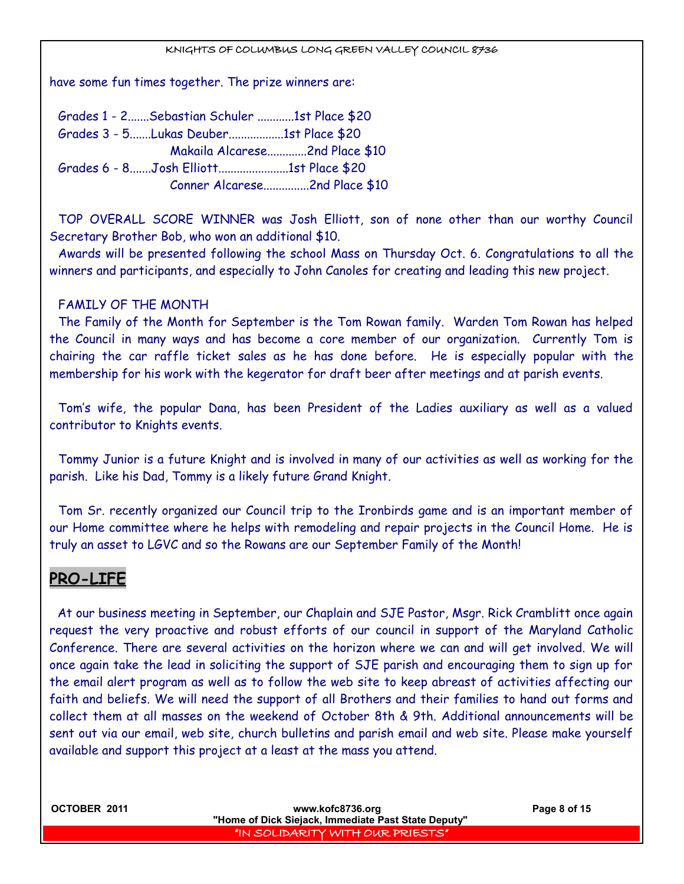have some fun times together. The prize winners are:

Grades 1 - 2.......Sebastian Schuler ............1st Place \$20 Grades 3 - 5.......Lukas Deuber..................1st Place \$20 Makaila Alcarese.............2nd Place \$10 Grades 6 - 8.......Josh Elliott.......................1st Place \$20 Conner Alcarese...............2nd Place \$10

TOP OVERALL SCORE WINNER was Josh Elliott, son of none other than our worthy Council Secretary Brother Bob, who won an additional \$10.

Awards will be presented following the school Mass on Thursday Oct. 6. Congratulations to all the winners and participants, and especially to John Canoles for creating and leading this new project.

#### FAMILY OF THE MONTH

The Family of the Month for September is the Tom Rowan family. Warden Tom Rowan has helped the Council in many ways and has become a core member of our organization. Currently Tom is chairing the car raffle ticket sales as he has done before. He is especially popular with the membership for his work with the kegerator for draft beer after meetings and at parish events.

Tom's wife, the popular Dana, has been President of the Ladies auxiliary as well as a valued contributor to Knights events.

Tommy Junior is a future Knight and is involved in many of our activities as well as working for the parish. Like his Dad, Tommy is a likely future Grand Knight.

Tom Sr. recently organized our Council trip to the Ironbirds game and is an important member of our Home committee where he helps with remodeling and repair projects in the Council Home. He is truly an asset to LGVC and so the Rowans are our September Family of the Month!

## **PRO-LIFE**

At our business meeting in September, our Chaplain and SJE Pastor, Msgr. Rick Cramblitt once again request the very proactive and robust efforts of our council in support of the Maryland Catholic Conference. There are several activities on the horizon where we can and will get involved. We will once again take the lead in soliciting the support of SJE parish and encouraging them to sign up for the email alert program as well as to follow the web site to keep abreast of activities affecting our faith and beliefs. We will need the support of all Brothers and their families to hand out forms and collect them at all masses on the weekend of October 8th & 9th. Additional announcements will be sent out via our email, web site, church bulletins and parish email and web site. Please make yourself available and support this project at a least at the mass you attend.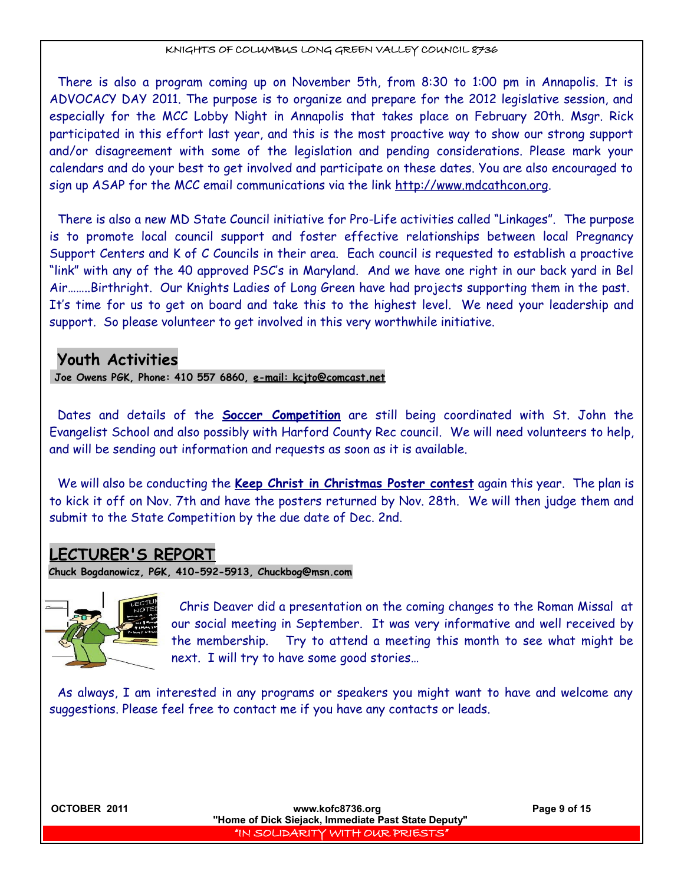There is also a program coming up on November 5th, from 8:30 to 1:00 pm in Annapolis. It is ADVOCACY DAY 2011. The purpose is to organize and prepare for the 2012 legislative session, and especially for the MCC Lobby Night in Annapolis that takes place on February 20th. Msgr. Rick participated in this effort last year, and this is the most proactive way to show our strong support and/or disagreement with some of the legislation and pending considerations. Please mark your calendars and do your best to get involved and participate on these dates. You are also encouraged to sign up ASAP for the MCC email communications via the link [http://www.mdcathcon.org.](http://www.mdcathcon.org/)

There is also a new MD State Council initiative for Pro-Life activities called "Linkages". The purpose is to promote local council support and foster effective relationships between local Pregnancy Support Centers and K of C Councils in their area. Each council is requested to establish a proactive "link" with any of the 40 approved PSC's in Maryland. And we have one right in our back yard in Bel Air……..Birthright. Our Knights Ladies of Long Green have had projects supporting them in the past. It's time for us to get on board and take this to the highest level. We need your leadership and support. So please volunteer to get involved in this very worthwhile initiative.

## **Youth Activities**

 **Joe Owens PGK, Phone: 410 557 6860, e-mail: kcjto@comcast.net**

Dates and details of the **Soccer Competition** are still being coordinated with St. John the Evangelist School and also possibly with Harford County Rec council. We will need volunteers to help, and will be sending out information and requests as soon as it is available.

We will also be conducting the **Keep Christ in Christmas Poster contest** again this year. The plan is to kick it off on Nov. 7th and have the posters returned by Nov. 28th. We will then judge them and submit to the State Competition by the due date of Dec. 2nd.

## **LECTURER'S REPORT**

**Chuck Bogdanowicz, PGK, 410-592-5913, Chuckbog@msn.com**



Chris Deaver did a presentation on the coming changes to the Roman Missal at our social meeting in September. It was very informative and well received by the membership. Try to attend a meeting this month to see what might be next. I will try to have some good stories…

As always, I am interested in any programs or speakers you might want to have and welcome any suggestions. Please feel free to contact me if you have any contacts or leads.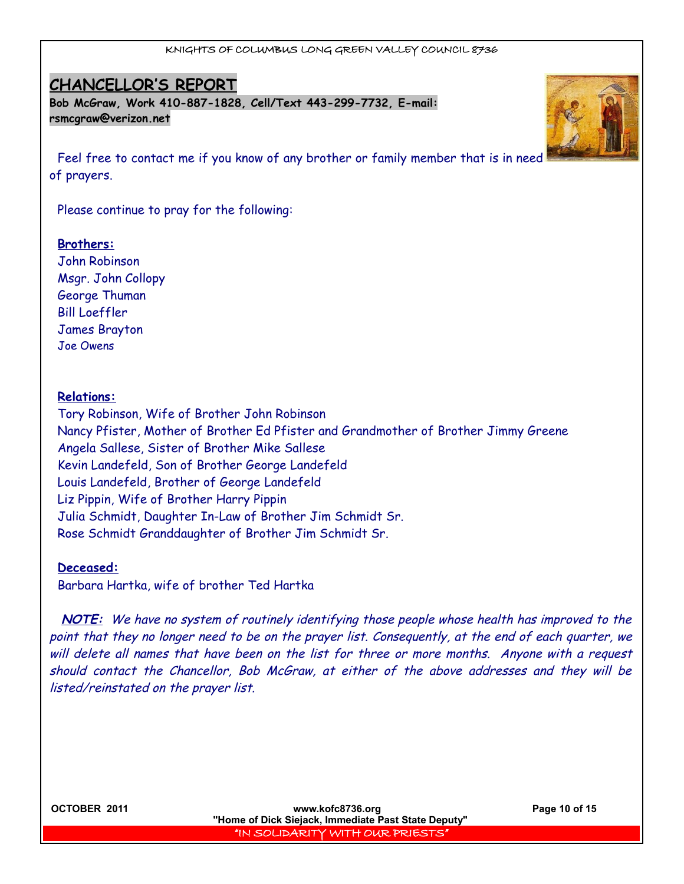## **CHANCELLOR'S REPORT**

**Bob McGraw, Work 410-887-1828, Cell/Text 443-299-7732, E-mail: [rsmcgraw@verizon.net](mailto:rsmcgraw@verizon.net)**

Feel free to contact me if you know of any brother or family member that is in need of prayers.

Please continue to pray for the following:

#### **Brothers:**

John Robinson Msgr. John Collopy George Thuman Bill Loeffler James Brayton Joe Owens

#### **Relations:**

Tory Robinson, Wife of Brother John Robinson Nancy Pfister, Mother of Brother Ed Pfister and Grandmother of Brother Jimmy Greene Angela Sallese, Sister of Brother Mike Sallese Kevin Landefeld, Son of Brother George Landefeld Louis Landefeld, Brother of George Landefeld Liz Pippin, Wife of Brother Harry Pippin Julia Schmidt, Daughter In-Law of Brother Jim Schmidt Sr. Rose Schmidt Granddaughter of Brother Jim Schmidt Sr.

#### **Deceased:**

Barbara Hartka, wife of brother Ted Hartka

**NOTE:** We have no system of routinely identifying those people whose health has improved to the point that they no longer need to be on the prayer list. Consequently, at the end of each quarter, we will delete all names that have been on the list for three or more months. Anyone with a request should contact the Chancellor, Bob McGraw, at either of the above addresses and they will be listed/reinstated on the prayer list.

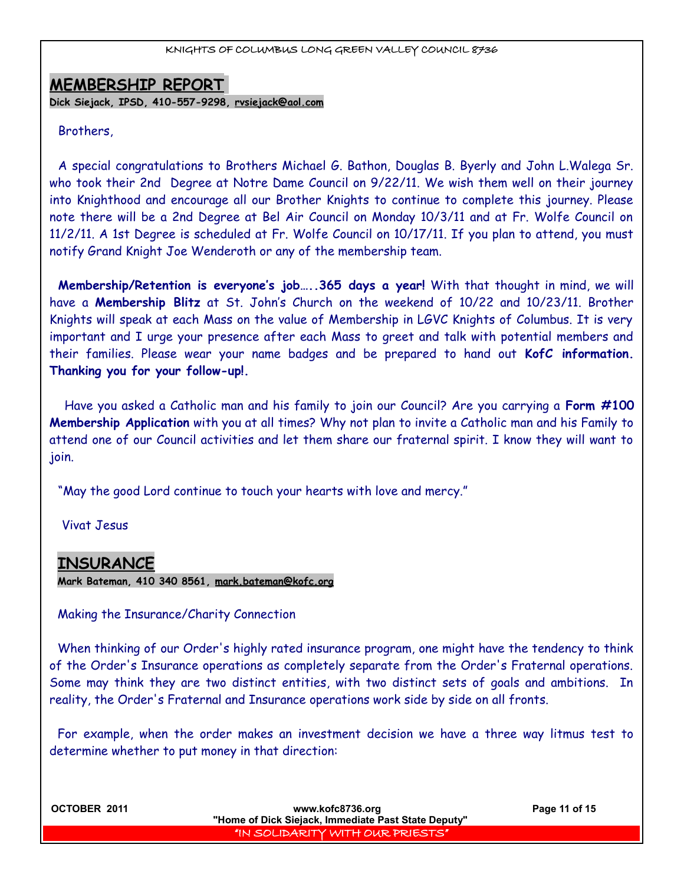### **MEMBERSHIP REPORT**

**Dick Siejack, IPSD, 410-557-9298, [rvsiejack@aol.com](mailto:rvsiejack@aol.com)**

#### Brothers,

A special congratulations to Brothers Michael G. Bathon, Douglas B. Byerly and John L.Walega Sr. who took their 2nd Degree at Notre Dame Council on 9/22/11. We wish them well on their journey into Knighthood and encourage all our Brother Knights to continue to complete this journey. Please note there will be a 2nd Degree at Bel Air Council on Monday 10/3/11 and at Fr. Wolfe Council on 11/2/11. A 1st Degree is scheduled at Fr. Wolfe Council on 10/17/11. If you plan to attend, you must notify Grand Knight Joe Wenderoth or any of the membership team.

**Membership/Retention is everyone's job…..365 days a year!** With that thought in mind, we will have a **Membership Blitz** at St. John's Church on the weekend of 10/22 and 10/23/11. Brother Knights will speak at each Mass on the value of Membership in LGVC Knights of Columbus. It is very important and I urge your presence after each Mass to greet and talk with potential members and their families. Please wear your name badges and be prepared to hand out **KofC information. Thanking you for your follow-up!.**

Have you asked a Catholic man and his family to join our Council? Are you carrying a **Form #100 Membership Application** with you at all times? Why not plan to invite a Catholic man and his Family to attend one of our Council activities and let them share our fraternal spirit. I know they will want to join.

"May the good Lord continue to touch your hearts with love and mercy."

Vivat Jesus

## **INSURANCE**

**Mark Bateman, 410 340 8561, [mark.bateman@kofc.org](mailto:mark.bateman@kofc.org)**

Making the Insurance/Charity Connection

When thinking of our Order's highly rated insurance program, one might have the tendency to think of the Order's Insurance operations as completely separate from the Order's Fraternal operations. Some may think they are two distinct entities, with two distinct sets of goals and ambitions. In reality, the Order's Fraternal and Insurance operations work side by side on all fronts.

For example, when the order makes an investment decision we have a three way litmus test to determine whether to put money in that direction:

**OCTOBER 2011 WWW.kofc8736.org Page 11 of 15 "Home of Dick Siejack, Immediate Past State Deputy"**  "IN SOLIDARITY WITH OUR PRIESTS"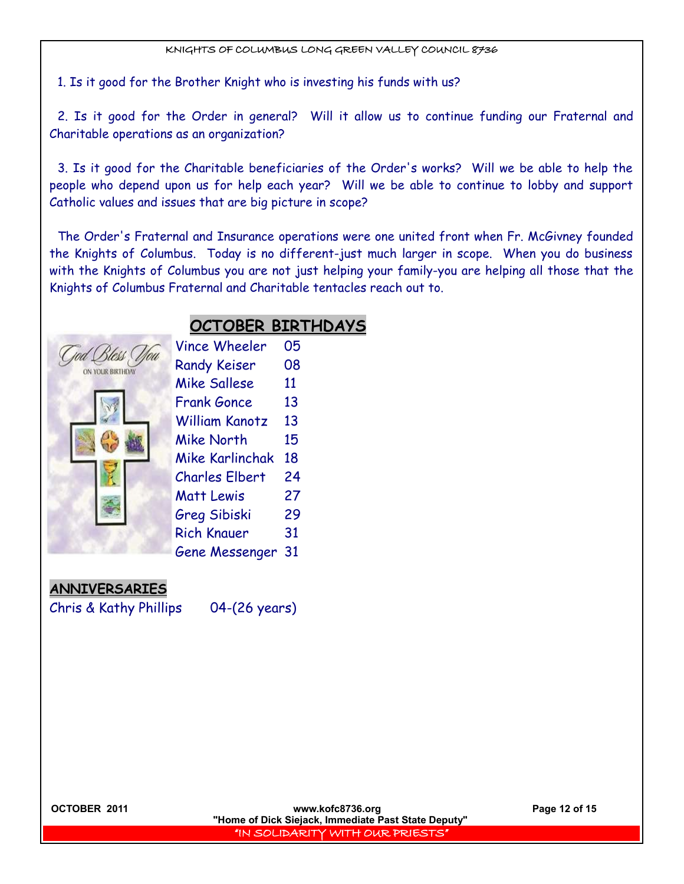1. Is it good for the Brother Knight who is investing his funds with us?

2. Is it good for the Order in general? Will it allow us to continue funding our Fraternal and Charitable operations as an organization?

3. Is it good for the Charitable beneficiaries of the Order's works? Will we be able to help the people who depend upon us for help each year? Will we be able to continue to lobby and support Catholic values and issues that are big picture in scope?

The Order's Fraternal and Insurance operations were one united front when Fr. McGivney founded the Knights of Columbus. Today is no different-just much larger in scope. When you do business with the Knights of Columbus you are not just helping your family-you are helping all those that the Knights of Columbus Fraternal and Charitable tentacles reach out to.

## **OCTOBER BIRTHDAYS**

| od Bless (       | <b>Vince Wheeler</b>  | 05 |
|------------------|-----------------------|----|
| ON YOUR BIRTHDAY | <b>Randy Keiser</b>   | 08 |
|                  | <b>Mike Sallese</b>   | 11 |
|                  | <b>Frank Gonce</b>    | 13 |
|                  | <b>William Kanotz</b> | 13 |
|                  | <b>Mike North</b>     | 15 |
|                  | Mike Karlinchak       | 18 |
|                  | <b>Charles Elbert</b> | 24 |
|                  | <b>Matt Lewis</b>     | 27 |
|                  | <b>Greg Sibiski</b>   | 29 |
|                  | <b>Rich Knauer</b>    | 31 |
|                  | <b>Gene Messenger</b> | 31 |
|                  |                       |    |

**ANNIVERSARIES**

Chris & Kathy Phillips 04-(26 years)

**OCTOBER 2011 www.kofc8736.org Page 12 of 15 "Home of Dick Siejack, Immediate Past State Deputy"**  "IN SOLIDARITY WITH OUR PRIESTS"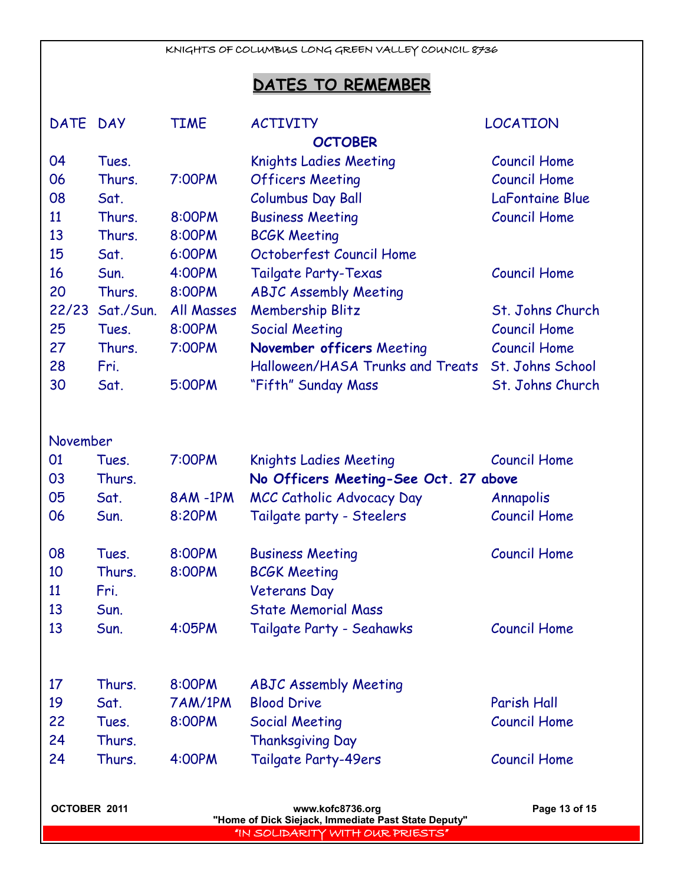## **DATES TO REMEMBER**

| DATE DAY     |           | <b>TIME</b>    | <b>ACTIVITY</b>                                     | LOCATION            |
|--------------|-----------|----------------|-----------------------------------------------------|---------------------|
|              |           |                | <b>OCTOBER</b>                                      |                     |
| 04           | Tues.     |                | <b>Knights Ladies Meeting</b>                       | <b>Council Home</b> |
| 06           | Thurs.    | 7:00PM         | <b>Officers Meeting</b>                             | <b>Council Home</b> |
| 08           | Sat.      |                | <b>Columbus Day Ball</b>                            | LaFontaine Blue     |
| 11           | Thurs.    | 8:00PM         | <b>Business Meeting</b>                             | <b>Council Home</b> |
| 13           | Thurs.    | 8:00PM         | <b>BCGK Meeting</b>                                 |                     |
| 15           | Sat.      | 6:00PM         | Octoberfest Council Home                            |                     |
| 16           | Sun.      | 4:00PM         | <b>Tailgate Party-Texas</b>                         | <b>Council Home</b> |
| 20           | Thurs.    | 8:00PM         | <b>ABJC Assembly Meeting</b>                        |                     |
| 22/23        | Sat./Sun. | All Masses     | <b>Membership Blitz</b>                             | St. Johns Church    |
| 25           | Tues.     | 8:00PM         | <b>Social Meeting</b>                               | <b>Council Home</b> |
| 27           | Thurs.    | 7:00PM         | November officers Meeting                           | <b>Council Home</b> |
| 28           | Fri.      |                | Halloween/HASA Trunks and Treats                    | St. Johns School    |
| 30           | Sat.      | 5:00PM         | "Fifth" Sunday Mass                                 | St. Johns Church    |
|              |           |                |                                                     |                     |
| November     |           |                |                                                     |                     |
| 01           | Tues.     | 7:00PM         | <b>Knights Ladies Meeting</b>                       | <b>Council Home</b> |
| 03           | Thurs.    |                | No Officers Meeting-See Oct. 27 above               |                     |
| 05           | Sat.      | <b>8AM-1PM</b> | MCC Catholic Advocacy Day                           | Annapolis           |
| 06           | Sun.      | 8:20PM         | Tailgate party - Steelers                           | <b>Council Home</b> |
|              |           |                |                                                     |                     |
| 08           | Tues.     | 8:00PM         | <b>Business Meeting</b>                             | <b>Council Home</b> |
| 10           | Thurs.    | 8:00PM         | <b>BCGK Meeting</b>                                 |                     |
| 11           | Fri.      |                | <b>Veterans Day</b>                                 |                     |
| 13           | Sun.      |                | <b>State Memorial Mass</b>                          |                     |
| 13           | Sun.      | 4:05PM         | Tailgate Party - Seahawks                           | <b>Council Home</b> |
|              |           |                |                                                     |                     |
| 17           | Thurs.    | 8:00PM         | <b>ABJC Assembly Meeting</b>                        |                     |
| 19           | Sat.      | 7AM/1PM        | <b>Blood Drive</b>                                  | Parish Hall         |
| 22           | Tues.     | 8:00PM         | <b>Social Meeting</b>                               | <b>Council Home</b> |
| 24           | Thurs.    |                |                                                     |                     |
|              |           |                | <b>Thanksgiving Day</b>                             |                     |
| 24           | Thurs.    | 4:00PM         | Tailgate Party-49ers                                | <b>Council Home</b> |
| OCTOBER 2011 |           |                | www.kofc8736.org                                    | Page 13 of 15       |
|              |           |                | "Home of Dick Siejack, Immediate Past State Deputy" |                     |
|              |           |                | "IN SOLIDARITY WITH OUR PRIESTS"                    |                     |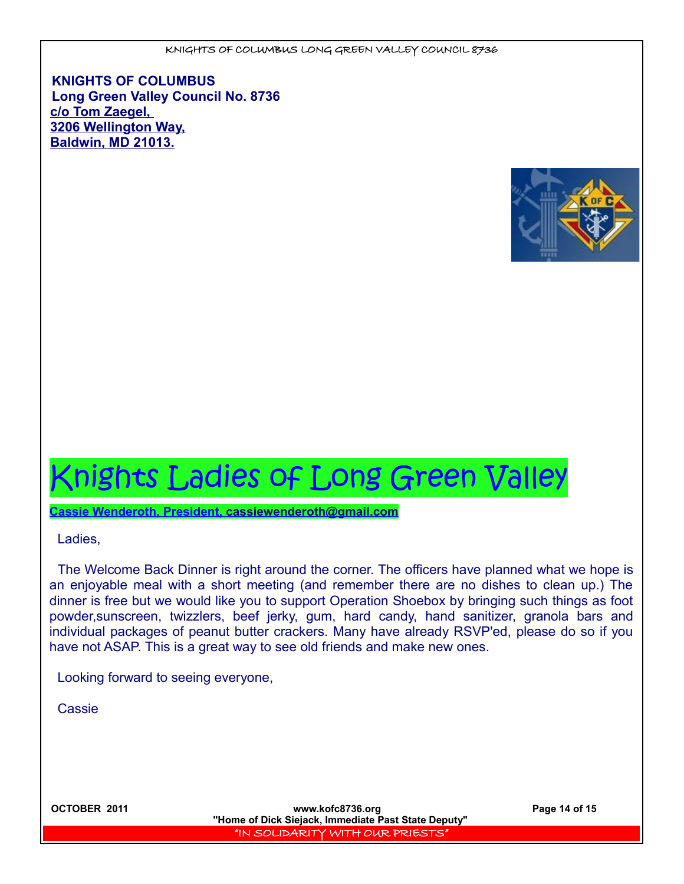**KNIGHTS OF COLUMBUS Long Green Valley Council No. 8736 c/o Tom Zaegel, 3206 Wellington Way, Baldwin, MD 21013.**



# Knights Ladies of Long Green Valley

 **Cassie Wenderoth, President, cassiewenderoth@gmail.com**

Ladies,

The Welcome Back Dinner is right around the corner. The officers have planned what we hope is an enjoyable meal with a short meeting (and remember there are no dishes to clean up.) The dinner is free but we would like you to support Operation Shoebox by bringing such things as foot powder,sunscreen, twizzlers, beef jerky, gum, hard candy, hand sanitizer, granola bars and individual packages of peanut butter crackers. Many have already RSVP'ed, please do so if you have not ASAP. This is a great way to see old friends and make new ones.

Looking forward to seeing everyone,

**Cassie** 

**OCTOBER 2011 www.kofc8736.org Page 14 of 15 "Home of Dick Siejack, Immediate Past State Deputy"**  "IN SOLIDARITY WITH OUR PRIESTS"